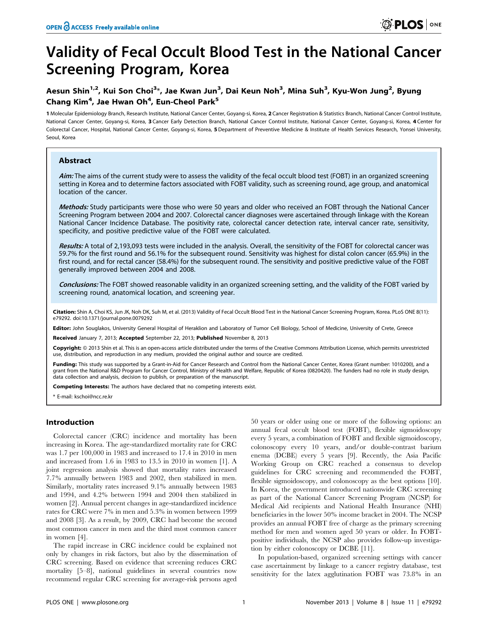# Validity of Fecal Occult Blood Test in the National Cancer Screening Program, Korea

## Aesun Shin<sup>1,2</sup>, Kui Son Choi<sup>3</sup>\*, Jae Kwan Jun<sup>3</sup>, Dai Keun Noh<sup>3</sup>, Mina Suh<sup>3</sup>, Kyu-Won Jung<sup>2</sup>, Byung Chang Kim<sup>4</sup>, Jae Hwan Oh<sup>4</sup>, Eun-Cheol Park<sup>5</sup>

1 Molecular Epidemiology Branch, Research Institute, National Cancer Center, Goyang-si, Korea, 2 Cancer Registration & Statistics Branch, National Cancer Control Institute, National Cancer Center, Goyang-si, Korea, 3 Cancer Early Detection Branch, National Cancer Control Institute, National Cancer Center, Goyang-si, Korea, 4 Center for Colorectal Cancer, Hospital, National Cancer Center, Goyang-si, Korea, 5 Department of Preventive Medicine & Institute of Health Services Research, Yonsei University, Seoul, Korea

## Abstract

Aim: The aims of the current study were to assess the validity of the fecal occult blood test (FOBT) in an organized screening setting in Korea and to determine factors associated with FOBT validity, such as screening round, age group, and anatomical location of the cancer.

Methods: Study participants were those who were 50 years and older who received an FOBT through the National Cancer Screening Program between 2004 and 2007. Colorectal cancer diagnoses were ascertained through linkage with the Korean National Cancer Incidence Database. The positivity rate, colorectal cancer detection rate, interval cancer rate, sensitivity, specificity, and positive predictive value of the FOBT were calculated.

Results: A total of 2,193,093 tests were included in the analysis. Overall, the sensitivity of the FOBT for colorectal cancer was 59.7% for the first round and 56.1% for the subsequent round. Sensitivity was highest for distal colon cancer (65.9%) in the first round, and for rectal cancer (58.4%) for the subsequent round. The sensitivity and positive predictive value of the FOBT generally improved between 2004 and 2008.

Conclusions: The FOBT showed reasonable validity in an organized screening setting, and the validity of the FOBT varied by screening round, anatomical location, and screening year.

Citation: Shin A, Choi KS, Jun JK, Noh DK, Suh M, et al. (2013) Validity of Fecal Occult Blood Test in the National Cancer Screening Program, Korea. PLoS ONE 8(11): e79292. doi:10.1371/journal.pone.0079292

Editor: John Souglakos, University General Hospital of Heraklion and Laboratory of Tumor Cell Biology, School of Medicine, University of Crete, Greece

Received January 7, 2013; Accepted September 22, 2013; Published November 8, 2013

Copyright: © 2013 Shin et al. This is an open-access article distributed under the terms of the Creative Commons Attribution License, which permits unrestricted use, distribution, and reproduction in any medium, provided the original author and source are credited.

Funding: This study was supported by a Grant-in-Aid for Cancer Research and Control from the National Cancer Center, Korea (Grant number: 1010200), and a grant from the National R&D Program for Cancer Control, Ministry of Health and Welfare, Republic of Korea (0820420). The funders had no role in study design, data collection and analysis, decision to publish, or preparation of the manuscript.

Competing Interests: The authors have declared that no competing interests exist.

\* E-mail: kschoi@ncc.re.kr

## Introduction

Colorectal cancer (CRC) incidence and mortality has been increasing in Korea. The age-standardized mortality rate for CRC was 1.7 per 100,000 in 1983 and increased to 17.4 in 2010 in men and increased from 1.6 in 1983 to 13.5 in 2010 in women [1]. A joint regression analysis showed that mortality rates increased 7.7% annually between 1983 and 2002, then stabilized in men. Similarly, mortality rates increased 9.1% annually between 1983 and 1994, and 4.2% between 1994 and 2004 then stabilized in women [2]. Annual percent changes in age-standardized incidence rates for CRC were 7% in men and 5.3% in women between 1999 and 2008 [3]. As a result, by 2009, CRC had become the second most common cancer in men and the third most common cancer in women [4].

The rapid increase in CRC incidence could be explained not only by changes in risk factors, but also by the dissemination of CRC screening. Based on evidence that screening reduces CRC mortality [5–8], national guidelines in several countries now recommend regular CRC screening for average-risk persons aged

50 years or older using one or more of the following options: an annual fecal occult blood test (FOBT), flexible sigmoidoscopy every 5 years, a combination of FOBT and flexible sigmoidoscopy, colonoscopy every 10 years, and/or double-contrast barium enema (DCBE) every 5 years [9]. Recently, the Asia Pacific Working Group on CRC reached a consensus to develop guidelines for CRC screening and recommended the FOBT, flexible sigmoidoscopy, and colonoscopy as the best options [10]. In Korea, the government introduced nationwide CRC screening as part of the National Cancer Screening Program (NCSP) for Medical Aid recipients and National Health Insurance (NHI) beneficiaries in the lower 50% income bracket in 2004. The NCSP provides an annual FOBT free of charge as the primary screening method for men and women aged 50 years or older. In FOBTpositive individuals, the NCSP also provides follow-up investigation by either colonoscopy or DCBE [11].

In population-based, organized screening settings with cancer case ascertainment by linkage to a cancer registry database, test sensitivity for the latex agglutination FOBT was 73.8% in an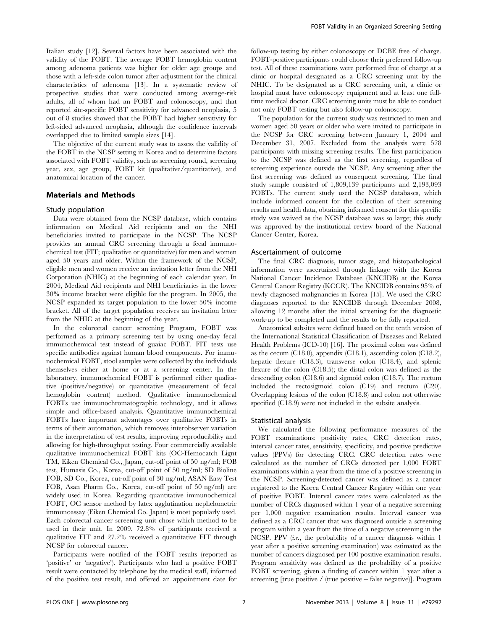Italian study [12]. Several factors have been associated with the validity of the FOBT. The average FOBT hemoglobin content among adenoma patients was higher for older age groups and those with a left-side colon tumor after adjustment for the clinical characteristics of adenoma [13]. In a systematic review of prospective studies that were conducted among average-risk adults, all of whom had an FOBT and colonoscopy, and that reported site-specific FOBT sensitivity for advanced neoplasia, 5 out of 8 studies showed that the FOBT had higher sensitivity for left-sided advanced neoplasia, although the confidence intervals overlapped due to limited sample sizes [14].

The objective of the current study was to assess the validity of the FOBT in the NCSP setting in Korea and to determine factors associated with FOBT validity, such as screening round, screening year, sex, age group, FOBT kit (qualitative/quantitative), and anatomical location of the cancer.

## Materials and Methods

#### Study population

Data were obtained from the NCSP database, which contains information on Medical Aid recipients and on the NHI beneficiaries invited to participate in the NCSP. The NCSP provides an annual CRC screening through a fecal immunochemical test (FIT; qualitative or quantitative) for men and women aged 50 years and older. Within the framework of the NCSP, eligible men and women receive an invitation letter from the NHI Corporation (NHIC) at the beginning of each calendar year. In 2004, Medical Aid recipients and NHI beneficiaries in the lower 30% income bracket were eligible for the program. In 2005, the NCSP expanded its target population to the lower 50% income bracket. All of the target population receives an invitation letter from the NHIC at the beginning of the year.

In the colorectal cancer screening Program, FOBT was performed as a primary screening test by using one-day fecal immunochemical test instead of guaiac FOBT. FIT tests use specific antibodies against human blood components. For immunochemical FOBT, stool samples were collected by the individuals themselves either at home or at a screening center. In the laboratory, immunochemical FOBT is performed either qualitative (positive/negative) or quantitative (measurement of fecal hemoglobin content) method. Qualitative immunochemical FOBTs use immunochromatographic technology, and it allows simple and office-based analysis. Quantitative immunochemical FOBTs have important advantages over qualitative FOBTs in terms of their automation, which removes interobserver variation in the interpretation of test results, improving reproducibility and allowing for high-throughput testing. Four commercially available qualitative immunochemical FOBT kits (OC-Hemocatch Lignt TM, Eiken Chemical Co., Japan, cut-off point of 50 ng/ml; FOB test, Humasis Co., Korea, cut-off point of 50 ng/ml; SD Bioline FOB, SD Co., Korea, cut-off point of 30 ng/ml; ASAN Easy Test FOB, Asan Pharm Co., Korea, cut-off point of 50 ng/ml) are widely used in Korea. Regarding quantitative immunochemical FOBT, OC sensor method by latex agglutination nephelometric immunoassay (Eiken Chemical Co. Japan) is most popularly used. Each colorectal cancer screening unit chose which method to be used in their unit. In 2009, 72.8% of participants received a qualitative FIT and 27.2% received a quantitative FIT through NCSP for colorectal cancer.

Participants were notified of the FOBT results (reported as 'positive' or 'negative'). Participants who had a positive FOBT result were contacted by telephone by the medical staff, informed of the positive test result, and offered an appointment date for

follow-up testing by either colonoscopy or DCBE free of charge. FOBT-positive participants could choose their preferred follow-up test. All of these examinations were performed free of charge at a clinic or hospital designated as a CRC screening unit by the NHIC. To be designated as a CRC screening unit, a clinic or hospital must have colonoscopy equipment and at least one fulltime medical doctor. CRC screening units must be able to conduct not only FOBT testing but also follow-up colonoscopy.

The population for the current study was restricted to men and women aged 50 years or older who were invited to participate in the NCSP for CRC screening between January 1, 2004 and December 31, 2007. Excluded from the analysis were 528 participants with missing screening results. The first participation to the NCSP was defined as the first screening, regardless of screening experience outside the NCSP. Any screening after the first screening was defined as consequent screening. The final study sample consisted of 1,809,139 participants and 2,193,093 FOBTs. The current study used the NCSP databases, which include informed consent for the collection of their screening results and health data, obtaining informed consent for this specific study was waived as the NCSP database was so large; this study was approved by the institutional review board of the National Cancer Center, Korea.

#### Ascertainment of outcome

The final CRC diagnosis, tumor stage, and histopathological information were ascertained through linkage with the Korea National Cancer Incidence Database (KNCIDB) at the Korea Central Cancer Registry (KCCR). The KNCIDB contains 95% of newly diagnosed malignancies in Korea [15]. We used the CRC diagnoses reported to the KNCIDB through December 2008, allowing 12 months after the initial screening for the diagnostic work-up to be completed and the results to be fully reported.

Anatomical subsites were defined based on the tenth version of the International Statistical Classification of Diseases and Related Health Problems (ICD-10) [16]. The proximal colon was defined as the cecum (C18.0), appendix (C18.1), ascending colon (C18.2), hepatic flexure (C18.3), transverse colon (C18.4), and splenic flexure of the colon (C18.5); the distal colon was defined as the descending colon (C18.6) and sigmoid colon (C18.7). The rectum included the rectosigmoid colon (C19) and rectum (C20). Overlapping lesions of the colon (C18.8) and colon not otherwise specified (C18.9) were not included in the subsite analysis.

#### Statistical analysis

We calculated the following performance measures of the FOBT examinations: positivity rates, CRC detection rates, interval cancer rates, sensitivity, specificity, and positive predictive values (PPVs) for detecting CRC. CRC detection rates were calculated as the number of CRCs detected per 1,000 FOBT examinations within a year from the time of a positive screening in the NCSP. Screening-detected cancer was defined as a cancer registered to the Korea Central Cancer Registry within one year of positive FOBT. Interval cancer rates were calculated as the number of CRCs diagnosed within 1 year of a negative screening per 1,000 negative examination results. Interval cancer was defined as a CRC cancer that was diagnosed outside a screening program within a year from the time of a negative screening in the NCSP. PPV *(i.e.*, the probability of a cancer diagnosis within 1 year after a positive screening examination) was estimated as the number of cancers diagnosed per 100 positive examination results. Program sensitivity was defined as the probability of a positive FOBT screening, given a finding of cancer within 1 year after a screening [true positive / (true positive + false negative)]. Program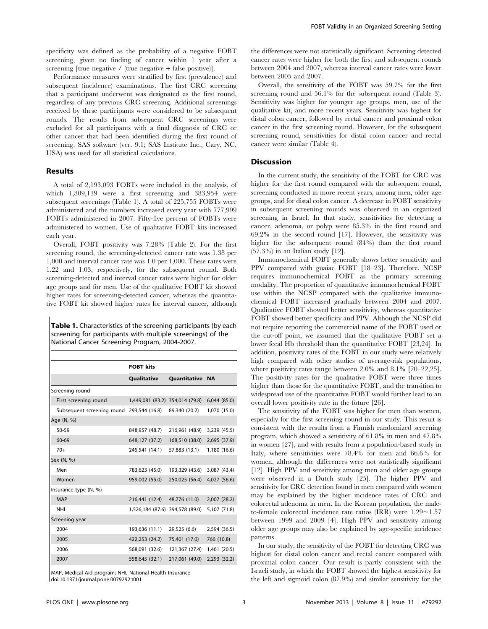specificity was defined as the probability of a negative FOBT screening, given no finding of cancer within 1 year after a screening [true negative  $/$  (true negative + false positive)].

Performance measures were stratified by first (prevalence) and subsequent (incidence) examinations. The first CRC screening that a participant underwent was designated as the first round, regardless of any previous CRC screening. Additional screenings received by these participants were considered to be subsequent rounds. The results from subsequent CRC screenings were excluded for all participants with a final diagnosis of CRC or other cancer that had been identified during the first round of screening. SAS software (ver. 9.1; SAS Institute Inc., Cary, NC, USA) was used for all statistical calculations.

#### Results

A total of 2,193,093 FOBTs were included in the analysis, of which 1,809,139 were a first screening and 383,954 were subsequent screenings (Table 1). A total of 225,755 FOBTs were administered and the numbers increased every year with 777,999 FOBTs administered in 2007. Fifty-five percent of FOBTs were administered to women. Use of qualitative FOBT kits increased each year.

Overall, FOBT positivity was 7.28% (Table 2). For the first screening round, the screening-detected cancer rate was 1.38 per 1,000 and interval cancer rate was 1.0 per 1,000. These rates were 1.22 and 1.03, respectively, for the subsequent round. Both screening-detected and interval cancer rates were higher for older age groups and for men. Use of the qualitative FOBT kit showed higher rates for screening-detected cancer, whereas the quantitative FOBT kit showed higher rates for interval cancer, although

Table 1. Characteristics of the screening participants (by each screening for participants with multiple screenings) of the National Cancer Screening Program, 2004-2007.

|                                           | Qualitative                     | Quantitative NA |              |
|-------------------------------------------|---------------------------------|-----------------|--------------|
| Screening round                           |                                 |                 |              |
| First screening round                     | 1,449,081 (83.2) 354,014 (79.8) |                 | 6,044(85.0)  |
| Subsequent screening round 293,544 (16.8) |                                 | 89,340 (20.2)   | 1,070 (15.0) |
| Age (N, %)                                |                                 |                 |              |
| 50-59                                     | 848,957 (48.7)                  | 216,961 (48.9)  | 3,239 (45.5) |
| 60-69                                     | 648,127 (37.2)                  | 168,510 (38.0)  | 2,695 (37.9) |
| $70+$                                     | 245,541 (14.1)                  | 57,883 (13.1)   | 1,180 (16.6) |
| Sex (N, %)                                |                                 |                 |              |
| Men                                       | 783,623 (45.0)                  | 193,329 (43.6)  | 3,087 (43.4) |
| Women                                     | 959,002 (55.0)                  | 250,025 (56.4)  | 4,027 (56.6) |
| Insurance type (N, %)                     |                                 |                 |              |
| <b>MAP</b>                                | 216,441 (12.4)                  | 48,776 (11.0)   | 2,007(28.2)  |
| <b>NHI</b>                                | 1,526,184 (87.6) 394,578 (89.0) |                 | 5,107 (71.8) |
| Screening year                            |                                 |                 |              |
| 2004                                      | 193,636 (11.1)                  | 29,525 (6.6)    | 2,594 (36.5) |
| 2005                                      | 422,253 (24.2)                  | 75,401 (17.0)   | 766 (10.8)   |
| 2006                                      | 568,091 (32.6)                  | 121,367 (27.4)  | 1,461 (20.5) |
| 2007                                      | 558,645 (32.1)                  | 217,061 (49.0)  | 2,293 (32.2) |

MAP, Medical Aid program; NHI, National Health Insurance doi:10.1371/journal.pone.0079292.t001

the differences were not statistically significant. Screening detected cancer rates were higher for both the first and subsequent rounds between 2004 and 2007, whereas interval cancer rates were lower between 2005 and 2007.

Overall, the sensitivity of the FOBT was 59.7% for the first screening round and 56.1% for the subsequent round (Table 3). Sensitivity was higher for younger age groups, men, use of the qualitative kit, and more recent years. Sensitivity was highest for distal colon cancer, followed by rectal cancer and proximal colon cancer in the first screening round. However, for the subsequent screening round, sensitivities for distal colon cancer and rectal cancer were similar (Table 4).

### **Discussion**

In the current study, the sensitivity of the FOBT for CRC was higher for the first round compared with the subsequent round, screening conducted in more recent years, among men, older age groups, and for distal colon cancer. A decrease in FOBT sensitivity in subsequent screening rounds was observed in an organized screening in Israel. In that study, sensitivities for detecting a cancer, adenoma, or polyp were 85.3% in the first round and 69.2% in the second round [17]. However, the sensitivity was higher for the subsequent round (84%) than the first round (57.3%) in an Italian study [12].

Immunochemical FOBT generally shows better sensitivity and PPV compared with guaiac FOBT [18–23]. Therefore, NCSP requires immunochemical FOBT as the primary screening modality. The proportion of quantitative immunochemical FOBT use within the NCSP compared with the qualitative immunochemical FOBT increased gradually between 2004 and 2007. Qualitative FOBT showed better sensitivity, whereas quantitative FOBT showed better specificity and PPV. Although the NCSP did not require reporting the commercial name of the FOBT used or the cut-off point, we assumed that the qualitative FOBT set a lower fecal Hb threshold than the quantitative FOBT [23,24]. In addition, positivity rates of the FOBT in our study were relatively high compared with other studies of average-risk populations, where positivity rates range between 2.0% and 8.1% [20–22,25]. The positivity rates for the qualitative FOBT were three times higher than those for the quantitative FOBT, and the transition to widespread use of the quantitative FOBT would further lead to an overall lower positivity rate in the future [26].

The sensitivity of the FOBT was higher for men than women, especially for the first screening round in our study. This result is consistent with the results from a Finnish randomized screening program, which showed a sensitivity of 61.8% in men and 47.8% in women [27], and with results from a population-based study in Italy, where sensitivities were 78.4% for men and 66.6% for women, although the differences were not statistically significant [12]. High PPV and sensitivity among men and older age groups were observed in a Dutch study [25]. The higher PPV and sensitivity for CRC detection found in men compared with women may be explained by the higher incidence rates of CRC and colorectal adenoma in men. In the Korean population, the maleto-female colorectal incidence rate ratios (IRR) were  $1.29 \sim 1.57$ between 1999 and 2009 [4]. High PPV and sensitivity among older age groups may also be explained by age-specific incidence patterns.

In our study, the sensitivity of the FOBT for detecting CRC was highest for distal colon cancer and rectal cancer compared with proximal colon cancer. Our result is partly consistent with the Israeli study, in which the FOBT showed the highest sensitivity for the left and sigmoid colon (87.9%) and similar sensitivity for the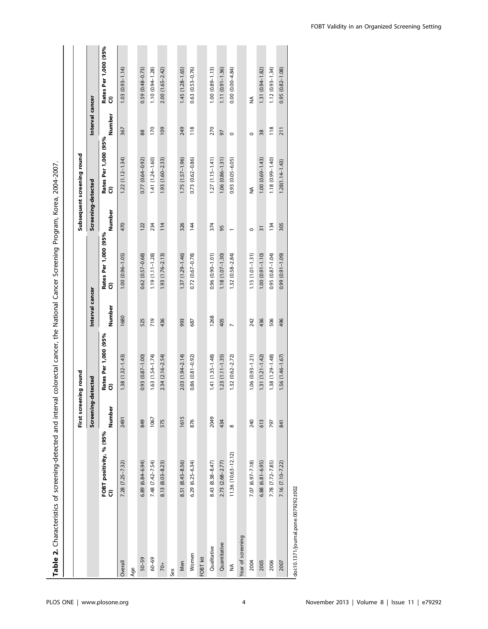|                                       |                                               | First screening round |                             |                 |                             |                    | Subsequent screening round  |                 |                             |
|---------------------------------------|-----------------------------------------------|-----------------------|-----------------------------|-----------------|-----------------------------|--------------------|-----------------------------|-----------------|-----------------------------|
|                                       |                                               | Screening             | detected                    | Interval cancer |                             | Screening-detected |                             | Interval cancer |                             |
|                                       | FOBT positivity, % (95%<br>$\widehat{\sigma}$ | Number                | Rates Per 1,000 (95%<br>Cl) | Number          | Rates Per 1,000 (95%<br>Cl) | Number             | Rates Per 1,000 (95%<br>Cl) | Number          | Rates Per 1,000 (95%<br>Cl) |
| Overall                               | $7.28$ $(7.25 - 7.32)$                        | 2491                  | $1.38(1.32 - 1.43)$         | 1680            | $1.00(0.96 - 1.05)$         | 470                | $1.22$ $(1.12 - 1.34)$      | 367             | $(1.03)(0.93 - 1.14)$       |
| Age                                   |                                               |                       |                             |                 |                             |                    |                             |                 |                             |
| $50 - 59$                             | $6.89(6.84 - 6.94)$                           | 849                   | $(0.0 - 18.0)$ £6.0         | 525             | $0.62(0.57 - 0.68)$         | 122                | $0.77(0.64 - 0.92)$         | 88              | $0.59(0.48 - 0.73)$         |
| $60 - 69$                             | 7.48 (7.42-7.54)                              | 1067                  | $1.63(1.54 - 1.74)$         | 719             | $1.19(1.11 - 1.28)$         | 234                | $1.41(1.24 - 1.60)$         | 170             | $1.10(0.94 - 1.28)$         |
| $\frac{1}{2}$                         | 8.13 (8.03-8.23)                              | 575                   | $2.34(2.16 - 2.54)$         | 436             | $1.93(1.76-2.13)$           | 114                | $1.93(1.60 - 2.33)$         | 109             | $2.00(1.65 - 2.42)$         |
| Sex                                   |                                               |                       |                             |                 |                             |                    |                             |                 |                             |
| Men                                   | 8.51 (8.45-8.56)                              | 1615                  | $2.03(1.94 - 2.14)$         | 993             | 1.37 (1.29-1.46)            | 326                | $1.75(1.57 - 1.96)$         | 249             | $1.45(1.28 - 1.65)$         |
| Women                                 | $6.29(6.25 - 6.34)$                           | 876                   | $0.86(0.81 - 0.92)$         | 687             | $0.72(0.67 - 0.78)$         | 144                | $0.73(0.62 - 0.86)$         | 118             | $0.63$ $(0.53 - 0.76)$      |
| FOBT kit                              |                                               |                       |                             |                 |                             |                    |                             |                 |                             |
| Qualitative                           | 8.43 (8.38-8.47)                              | 2049                  | $1.41(1.35 - 1.48)$         | 1268            | $0.96(0.90 - 1.01)$         | 374                | $1.27(1.15 - 1.41)$         | 270             | $1.00(0.89 - 1.13)$         |
| Quantitative                          | 2.73 (2.68-2.77)                              | 434                   | $1.23(1.11 - 1.35)$         | 405             | $1.18(1.07 - 1.30)$         | 95                 | $1.06(0.86 - 1.31)$         | 97              | $1.11(0.91 - 1.36)$         |
| ≨                                     | 11.36 (10.63-12.12)                           | $\infty$              | $1.32(0.62 - 2.72)$         | $\overline{ }$  | $1.32(0.58 - 2.84)$         |                    | $0.93$ $(0.05 - 6.05)$      | $\circ$         | $0.00(0.00 - 4.84)$         |
| Year of screening                     |                                               |                       |                             |                 |                             |                    |                             |                 |                             |
| 2004                                  | 7.07 (6.97-7.18)                              | 240                   | $1.06(0.93 - 1.21)$         | 242             | $1.15(1.01 - 1.31)$         | $\circ$            | $\frac{1}{2}$               | $\circ$         | $\frac{4}{2}$               |
| 2005                                  | $6.88(6.81 - 6.95)$                           | 613                   | $1.31(1.21 - 1.42)$         | 436             | $1.00 (0.91 - 1.10)$        | $\overline{31}$    | $1.00(0.69 - 1.43)$         | 38              | 1.31 (0.94-1.82)            |
| 2006                                  | 7.78 (7.72-7.85)                              | 797                   | 1.38 (1.29-1.48)            | 506             | $0.95(0.87 - 1.04)$         | 134                | 1.18 (0.99-1.40)            | 118             | $1.12(0.93 - 1.34)$         |
| 2007                                  | 7.16 (7.10-7.22)                              | 841                   | $1.56(1.46 - 1.67)$         | 496             | $(60.1 - 199)$ (0.91-1.09)  | 305                | $1.28(1.14 - 1.43)$         | 211             | $0.95(0.82 - 1.08)$         |
| doi:10.1371/journal.pone.0079292.t002 |                                               |                       |                             |                 |                             |                    |                             |                 |                             |

Table 2. Characteristics of screening-detected and interval colorectal cancer, the National Cancer Screening Program, Korea, 2004-2007. Table 2. Characteristics of screening-detected and interval colorectal cancer, the National Cancer Screening Program, Korea, 2004-2007.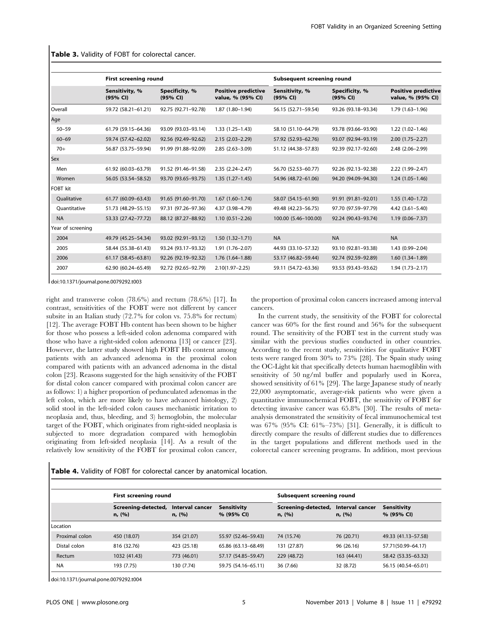|                   | <b>First screening round</b> |                            |                                                 | Subsequent screening round |                            |                                                 |  |
|-------------------|------------------------------|----------------------------|-------------------------------------------------|----------------------------|----------------------------|-------------------------------------------------|--|
|                   | Sensitivity, %<br>(95% CI)   | Specificity, %<br>(95% CI) | <b>Positive predictive</b><br>value, % (95% CI) | Sensitivity, %<br>(95% CI) | Specificity, %<br>(95% CI) | <b>Positive predictive</b><br>value, % (95% CI) |  |
| Overall           | 59.72 (58.21-61.21)          | 92.75 (92.71-92.78)        | 1.87 (1.80-1.94)                                | 56.15 (52.71-59.54)        | 93.26 (93.18-93.34)        | $1.79(1.63 - 1.96)$                             |  |
| Age               |                              |                            |                                                 |                            |                            |                                                 |  |
| $50 - 59$         | 61.79 (59.15-64.36)          | 93.09 (93.03-93.14)        | $1.33(1.25 - 1.43)$                             | 58.10 (51.10-64.79)        | 93.78 (93.66-93.90)        | $1.22(1.02 - 1.46)$                             |  |
| $60 - 69$         | 59.74 (57.42-62.02)          | 92.56 (92.49-92.62)        | $2.15(2.03 - 2.29)$                             | 57.92 (52.93-62.76)        | 93.07 (92.94-93.19)        | $2.00(1.75 - 2.27)$                             |  |
| $70+$             | 56.87 (53.75-59.94)          | 91.99 (91.88-92.09)        | $2.85(2.63 - 3.09)$                             | 51.12 (44.38-57.83)        | 92.39 (92.17-92.60)        | 2.48 (2.06-2.99)                                |  |
| Sex               |                              |                            |                                                 |                            |                            |                                                 |  |
| Men               | 61.92 (60.03-63.79)          | 91.52 (91.46-91.58)        | $2.35(2.24 - 2.47)$                             | 56.70 (52.53-60.77)        | 92.26 (92.13-92.38)        | $2.22(1.99 - 2.47)$                             |  |
| Women             | 56.05 (53.54 - 58.52)        | 93.70 (93.65-93.75)        | $1.35(1.27-1.45)$                               | 54.96 (48.72-61.06)        | 94.20 (94.09-94.30)        | $1.24(1.05-1.46)$                               |  |
| <b>FOBT</b> kit   |                              |                            |                                                 |                            |                            |                                                 |  |
| Qualitative       | 61.77 (60.09-63.43)          | 91.65 (91.60-91.70)        | $1.67(1.60-1.74)$                               | 58.07 (54.15-61.90)        | 91.91 (91.81-92.01)        | $1.55(1.40-1.72)$                               |  |
| Ouantitative      | 51.73 (48.29 - 55.15)        | 97.31 (97.26-97.36)        | 4.37 (3.98-4.79)                                | 49.48 (42.23-56.75)        | 97.70 (97.59-97.79)        | $4.42(3.61 - 5.40)$                             |  |
| <b>NA</b>         | 53.33 (27.42-77.72)          | 88.12 (87.27-88.92)        | $1.10(0.51 - 2.26)$                             | 100.00 (5.46-100.00)       | 92.24 (90.43-93.74)        | $1.19(0.06 - 7.37)$                             |  |
| Year of screening |                              |                            |                                                 |                            |                            |                                                 |  |
| 2004              | 49.79 (45.25 - 54.34)        | 93.02 (92.91-93.12)        | $1.50(1.32 - 1.71)$                             | <b>NA</b>                  | <b>NA</b>                  | <b>NA</b>                                       |  |
| 2005              | 58.44 (55.38-61.43)          | 93.24 (93.17-93.32)        | $1.91(1.76 - 2.07)$                             | 44.93 (33.10-57.32)        | 93.10 (92.81-93.38)        | 1.43 (0.99-2.04)                                |  |
| 2006              | 61.17 (58.45-63.81)          | 92.26 (92.19-92.32)        | $1.76(1.64-1.88)$                               | 53.17 (46.82-59.44)        | 92.74 (92.59-92.89)        | $1.60(1.34-1.89)$                               |  |
| 2007              | 62.90 (60.24-65.49)          | 92.72 (92.65-92.79)        | $2.10(1.97 - 2.25)$                             | 59.11 (54.72-63.36)        | 93.53 (93.43-93.62)        | $1.94(1.73 - 2.17)$                             |  |

Table 3. Validity of FOBT for colorectal cancer.

doi:10.1371/journal.pone.0079292.t003

right and transverse colon (78.6%) and rectum (78.6%) [17]. In contrast, sensitivities of the FOBT were not different by cancer subsite in an Italian study (72.7% for colon vs. 75.8% for rectum) [12]. The average FOBT Hb content has been shown to be higher for those who possess a left-sided colon adenoma compared with those who have a right-sided colon adenoma [13] or cancer [23]. However, the latter study showed high FOBT Hb content among patients with an advanced adenoma in the proximal colon compared with patients with an advanced adenoma in the distal colon [23]. Reasons suggested for the high sensitivity of the FOBT for distal colon cancer compared with proximal colon cancer are as follows: 1) a higher proportion of pedunculated adenomas in the left colon, which are more likely to have advanced histology, 2) solid stool in the left-sided colon causes mechanistic irritation to neoplasia and, thus, bleeding, and 3) hemoglobin, the molecular target of the FOBT, which originates from right-sided neoplasia is subjected to more degradation compared with hemoglobin originating from left-sided neoplasia [14]. As a result of the relatively low sensitivity of the FOBT for proximal colon cancer,

the proportion of proximal colon cancers increased among interval cancers.

In the current study, the sensitivity of the FOBT for colorectal cancer was 60% for the first round and 56% for the subsequent round. The sensitivity of the FOBT test in the current study was similar with the previous studies conducted in other countries. According to the recent study, sensitivities for qualitative FOBT tests were ranged from 30% to 73% [28]. The Spain study using the OC-Light kit that specifically detects human haemogliblin with sensitivity of 50 ng/ml buffer and popularly used in Korea, showed sensitivity of 61% [29]. The large Japanese study of nearly 22,000 asymptomatic, average-risk patients who were given a quantitative immunochemical FOBT, the sensitivity of FOBT for detecting invasive cancer was 65.8% [30]. The results of metaanalysis demonstrated the sensitivity of fecal immunochemical test was 67% (95% CI: 61%–73%) [31]. Generally, it is difficult to directly compare the results of different studies due to differences in the target populations and different methods used in the colorectal cancer screening programs. In addition, most previous

Table 4. Validity of FOBT for colorectal cancer by anatomical location.

|                | <b>First screening round</b>  |                           |                                  | Subsequent screening round    |                           |                                  |  |
|----------------|-------------------------------|---------------------------|----------------------------------|-------------------------------|---------------------------|----------------------------------|--|
|                | Screening-detected,<br>n, (%) | Interval cancer<br>n, (%) | <b>Sensitivity</b><br>% (95% CI) | Screening-detected,<br>n, (%) | Interval cancer<br>n, (%) | <b>Sensitivity</b><br>% (95% CI) |  |
| Location       |                               |                           |                                  |                               |                           |                                  |  |
| Proximal colon | 450 (18.07)                   | 354 (21.07)               | 55.97 (52.46–59.43)              | 74 (15.74)                    | 76 (20.71)                | 49.33 (41.13-57.58)              |  |
| Distal colon   | 816 (32.76)                   | 423 (25.18)               | 65.86 (63.13-68.49)              | 131 (27.87)                   | 96 (26.16)                | 57.71(50.99-64.17)               |  |
| Rectum         | 1032 (41.43)                  | 773 (46.01)               | 57.17 (54.85-59.47)              | 229 (48.72)                   | 163 (44.41)               | 58.42 (53.35 - 63.32)            |  |
| <b>NA</b>      | 193 (7.75)                    | 130 (7.74)                | 59.75 (54.16-65.11)              | 36 (7.66)                     | 32 (8.72)                 | 56.15 (40.54-65.01)              |  |

doi:10.1371/journal.pone.0079292.t004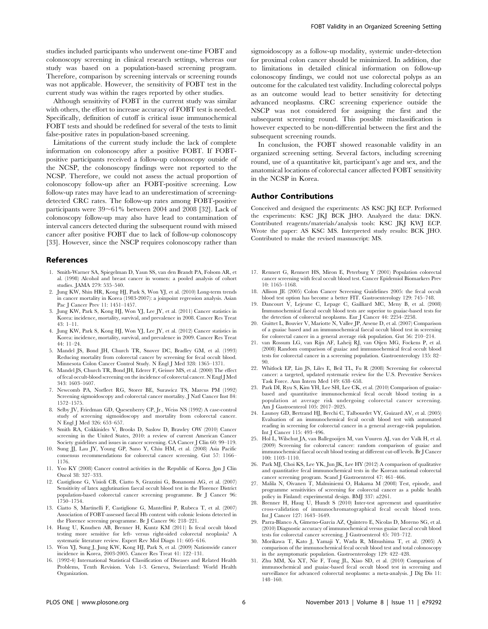studies included participants who underwent one-time FOBT and colonoscopy screening in clinical research settings, whereas our study was based on a population-based screening program. Therefore, comparison by screening intervals or screening rounds was not applicable. However, the sensitivity of FOBT test in the current study was within the rages reported by other studies.

Although sensitivity of FOBT in the current study was similar with others, the effort to increase accuracy of FOBT test is needed. Specifically, definition of cutoff is critical issue immunochemical FOBT tests and should be redefined for several of the tests to limit false-positive rates in population-based screening.

Limitations of the current study include the lack of complete information on colonoscopy after a positive FOBT. If FOBTpositive participants received a follow-up colonoscopy outside of the NCSP, the colonoscopy findings were not reported to the NCSP. Therefore, we could not assess the actual proportion of colonoscopy follow-up after an FOBT-positive screening. Low follow-up rates may have lead to an underestimation of screeningdetected CRC rates. The follow-up rates among FOBT-positive participants were  $39~61\%$  between 2004 and 2008 [32]. Lack of colonoscopy follow-up may also have lead to contamination of interval cancers detected during the subsequent round with missed cancer after positive FOBT due to lack of follow-up colonoscopy [33]. However, since the NSCP requires colonoscopy rather than

## References

- 1. Smith-Warner SA, Spiegelman D, Yaun SS, van den Brandt PA, Folsom AR, et al. (1998) Alcohol and breast cancer in women: a pooled analysis of cohort studies. JAMA 279: 535–540.
- 2. Jung KW, Shin HR, Kong HJ, Park S, Won YJ, et al. (2010) Long-term trends in cancer mortality in Korea (1983-2007): a joinpoint regression analysis. Asian Pac J Cancer Prev 11: 1451–1457.
- 3. Jung KW, Park S, Kong HJ, Won YJ, Lee JY, et al. (2011) Cancer statistics in Korea: incidence, mortality, survival, and prevalence in 2008. Cancer Res Treat 43: 1–11.
- 4. Jung KW, Park S, Kong HJ, Won YJ, Lee JY, et al. (2012) Cancer statistics in Korea: incidence, mortality, survival, and prevalence in 2009. Cancer Res Treat 44: 11–24.
- 5. Mandel JS, Bond JH, Church TR, Snover DC, Bradley GM, et al. (1993) Reducing mortality from colorectal cancer by screening for fecal occult blood. Minnesota Colon Cancer Control Study. N Engl J Med 328: 1365–1371.
- 6. Mandel JS, Church TR, Bond JH, Ederer F, Geisser MS, et al. (2000) The effect of fecal occult-blood screening on the incidence of colorectal cancer. N Engl J Med 343: 1603–1607.
- 7. Newcomb PA, Norfleet RG, Storer BE, Surawicz TS, Marcus PM (1992) Screening sigmoidoscopy and colorectal cancer mortality. J Natl Cancer Inst 84: 1572–1575.
- 8. Selby JV, Friedman GD, Quesenberry CP, Jr., Weiss NS (1992) A case-control study of screening sigmoidoscopy and mortality from colorectal cancer. N Engl J Med 326: 653–657.
- 9. Smith RA, Cokkinides V, Brooks D, Saslow D, Brawley OW (2010) Cancer screening in the United States, 2010: a review of current American Cancer Society guidelines and issues in cancer screening. CA Cancer J Clin 60: 99–119.
- 10. Sung JJ, Lau JY, Young GP, Sano Y, Chiu HM, et al. (2008) Asia Pacific consensus recommendations for colorectal cancer screening. Gut 57: 1166– 1176.
- 11. Yoo KY (2008) Cancer control activities in the Republic of Korea. Jpn J Clin Oncol 38: 327–333.
- 12. Castiglione G, Visioli CB, Ciatto S, Grazzini G, Bonanomi AG, et al. (2007) Sensitivity of latex agglutination faecal occult blood test in the Florence District population-based colorectal cancer screening programme. Br J Cancer 96: 1750–1754.
- 13. Ciatto S, Martinelli F, Castiglione G, Mantellini P, Rubeca T, et al. (2007) Association of FOBT-assessed faecal Hb content with colonic lesions detected in the Florence screening programme. Br J Cancer 96: 218–221.
- 14. Haug U, Knudsen AB, Brenner H, Kuntz KM (2011) Is fecal occult blood testing more sensitive for left- versus right-sided colorectal neoplasia? A systematic literature review. Expert Rev Mol Diagn 11: 605–616.
- 15. Won YJ, Sung J, Jung KW, Kong HJ, Park S, et al. (2009) Nationwide cancer incidence in Korea, 2003-2005. Cancer Res Treat 41: 122–131.
- 16. (1992-4) International Statistical Classification of Diseases and Related Health Problems, Tenth Revision. Vols 1-3. Geneva, Swizerland: World Health Organization.

sigmoidoscopy as a follow-up modality, systemic under-detection for proximal colon cancer should be minimized. In addition, due to limitations in detailed clinical information on follow-up colonoscopy findings, we could not use colorectal polyps as an outcome for the calculated test validity. Including colorectal polyps as an outcome would lead to better sensitivity for detecting advanced neoplasms. CRC screening experience outside the NSCP was not considered for assigning the first and the subsequent screening round. This possible misclassification is however expected to be non-differential between the first and the subsequent screening rounds.

In conclusion, the FOBT showed reasonable validity in an organized screening setting. Several factors, including screening round, use of a quantitative kit, participant's age and sex, and the anatomical locations of colorectal cancer affected FOBT sensitivity in the NCSP in Korea.

#### Author Contributions

Conceived and designed the experiments: AS KSC JKJ ECP. Performed the experiments: KSC JKJ BCK JHO. Analyzed the data: DKN. Contributed reagents/materials/analysis tools: KSC JKJ KWJ ECP. Wrote the paper: AS KSC MS. Interpreted study results: BCK JHO. Contributed to make the revised masnuscript: MS.

- 17. Rennert G, Rennert HS, Miron E, Peterburg Y (2001) Population colorectal cancer screening with fecal occult blood test. Cancer Epidemiol Biomarkers Prev 10: 1165–1168.
- 18. Allison JE (2005) Colon Cancer Screening Guidelines 2005: the fecal occult blood test option has become a better FIT. Gastroenterology 129: 745–748.
- 19. Dancourt V, Lejeune C, Lepage C, Gailliard MC, Meny B, et al. (2008) Immunochemical faecal occult blood tests are superior to guaiac-based tests for the detection of colorectal neoplasms. Eur J Cancer 44: 2254–2258.
- 20. Guittet L, Bouvier V, Mariotte N, Vallee JP, Arsene D, et al. (2007) Comparison of a guaiac based and an immunochemical faecal occult blood test in screening for colorectal cancer in a general average risk population. Gut 56: 210–214.
- 21. van Rossum LG, van Rijn AF, Laheij RJ, van Oijen MG, Fockens P, et al. (2008) Random comparison of guaiac and immunochemical fecal occult blood tests for colorectal cancer in a screening population. Gastroenterology 135: 82– 90.
- 22. Whitlock EP, Lin JS, Liles E, Beil TL, Fu R (2008) Screening for colorectal cancer: a targeted, updated systematic review for the U.S. Preventive Services Task Force. Ann Intern Med 149: 638–658.
- 23. Park DI, Ryu S, Kim YH, Lee SH, Lee CK, et al. (2010) Comparison of guaiacbased and quantitative immunochemical fecal occult blood testing in a population at average risk undergoing colorectal cancer screening. <sup>1</sup><sup>1</sup> J Gastroenterol 105: 2017–2025.
- 24. Launoy GD, Bertrand HJ, Berchi C, Talbourdet VY, Guizard AV, et al. (2005) Evaluation of an immunochemical fecal occult blood test with automated reading in screening for colorectal cancer in a general average-risk population. Int J Cancer 115: 493–496.
- 25. Hol L, Wilschut JA, van Ballegooijen M, van Vuuren AJ, van der Valk H, et al. (2009) Screening for colorectal cancer: random comparison of guaiac and immunochemical faecal occult blood testing at different cut-off levels. Br J Cancer 100: 1103–1110.
- 26. Park MJ, Choi KS, Lee YK, Jun JK, Lee HY (2012) A comparison of qualitative and quantitative fecal immunochemical tests in the Korean national colorectal cancer screening program. Scand J Gastroenterol 47: 461–466.
- 27. Malila N, Oivanen T, Malminiemi O, Hakama M (2008) Test, episode, and programme sensitivities of screening for colorectal cancer as a public health policy in Finland: experimental design. BMJ 337: a2261.
- 28. Brenner H, Haug U, Hundt S (2010) Inter-test agreement and quantitative cross-validation of immunochromatographical fecal occult blood tests. Int J Cancer 127: 1643–1649.
- 29. Parra-Blanco A, Gimeno-Garcia AZ, Quintero E, Nicolas D, Moreno SG, et al. (2010) Diagnostic accuracy of immunochemical versus guaiac faecal occult blood tests for colorectal cancer screening. J Gastroenterol 45: 703–712.
- 30. Morikawa T, Kato J, Yamaji Y, Wada R, Mitsushima T, et al. (2005) A comparison of the immunochemical fecal occult blood test and total colonoscopy in the asymptomatic population. Gastroenterology 129: 422–428.
- 31. Zhu MM, Xu XT, Nie F, Tong JL, Xiao SD, et al. (2010) Comparison of immunochemical and guaiac-based fecal occult blood test in screening and surveillance for advanced colorectal neoplasms: a meta-analysis. J Dig Dis 11: 148–160.